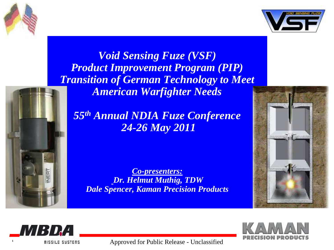



*Void Sensing Fuze (VSF) Product Improvement Program (PIP) Transition of German Technology to Meet American Warfighter Needs*

*55th Annual NDIA Fuze Conference 24-26 May 2011*

*Co-presenters: Dr. Helmut Muthig, TDW Dale Spencer, Kaman Precision Products*







**<sup>1</sup>** Approved for Public Release - Unclassified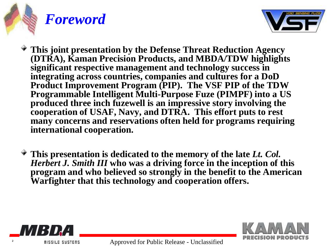



- **This joint presentation by the Defense Threat Reduction Agency (DTRA), Kaman Precision Products, and MBDA/TDW highlights significant respective management and technology success in integrating across countries, companies and cultures for a DoD Product Improvement Program (PIP). The VSF PIP of the TDW Programmable Intelligent Multi-Purpose Fuze (PIMPF) into a US produced three inch fuzewell is an impressive story involving the cooperation of USAF, Navy, and DTRA. This effort puts to rest many concerns and reservations often held for programs requiring international cooperation.**
- **This presentation is dedicated to the memory of the late** *Lt. Col. Herbert J. Smith III* **who was a driving force in the inception of this program and who believed so strongly in the benefit to the American Warfighter that this technology and cooperation offers.**



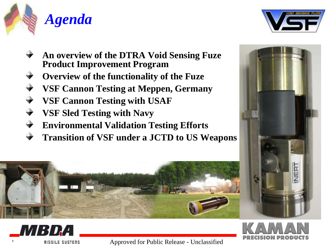



- **An overview of the DTRA Void Sensing Fuze Product Improvement Program**
- **Overview of the functionality of the Fuze**
- **VSF Cannon Testing at Meppen, Germany**
- **VSF Cannon Testing with USAF**
- **VSF Sled Testing with Navy**
- **Environmental Validation Testing Efforts**
- **Transition of VSF under a JCTD to US Weapons**







MBDA

**<sup>3</sup>** Approved for Public Release - Unclassified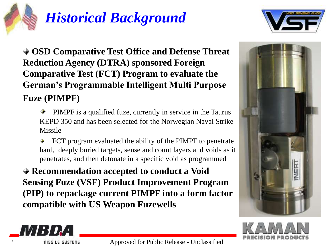# *Historical Background*



**OSD Comparative Test Office and Defense Threat Reduction Agency (DTRA) sponsored Foreign Comparative Test (FCT) Program to evaluate the German's Programmable Intelligent Multi Purpose Fuze (PIMPF)**

- PIMPF is a qualified fuze, currently in service in the Taurus KEPD 350 and has been selected for the Norwegian Naval Strike Missile
- FCT program evaluated the ability of the PIMPF to penetrate hard, deeply buried targets, sense and count layers and voids as it penetrates, and then detonate in a specific void as programmed

**Recommendation accepted to conduct a Void Sensing Fuze (VSF) Product Improvement Program (PIP) to repackage current PIMPF into a form factor compatible with US Weapon Fuzewells**





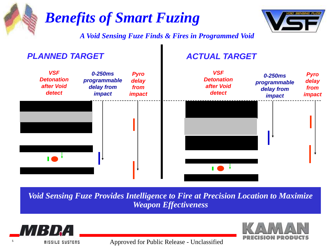

*Void Sensing Fuze Provides Intelligence to Fire at Precision Location to Maximize Weapon Effectiveness*



**<sup>5</sup>** Approved for Public Release - Unclassified

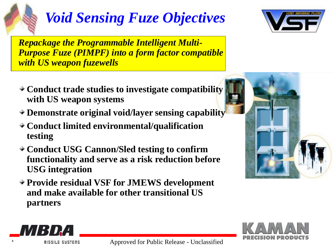

# *Void Sensing Fuze Objectives*

*Repackage the Programmable Intelligent Multi-Purpose Fuze (PIMPF) into a form factor compatible with US weapon fuzewells* 



- **Demonstrate original void/layer sensing capability**
- **Conduct limited environmental/qualification testing**
- **Conduct USG Cannon/Sled testing to confirm functionality and serve as a risk reduction before USG integration**
- **Provide residual VSF for JMEWS development and make available for other transitional US partners**







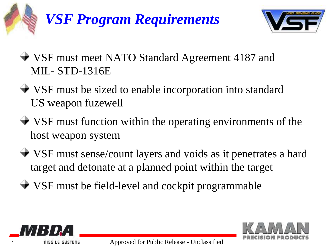# *VSF Program Requirements*



- VSF must meet NATO Standard Agreement 4187 and MIL- STD-1316E
- VSF must be sized to enable incorporation into standard US weapon fuzewell
- VSF must function within the operating environments of the host weapon system
- VSF must sense/count layers and voids as it penetrates a hard target and detonate at a planned point within the target
- VSF must be field-level and cockpit programmable



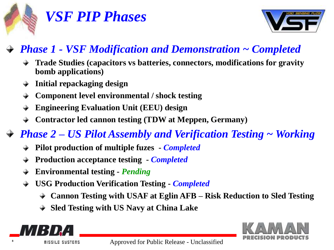

## *VSF PIP Phases*



### *Phase 1 - VSF Modification and Demonstration ~ Completed*

- **Trade Studies (capacitors vs batteries, connectors, modifications for gravity bomb applications)**
- **Initial repackaging design**
- **Component level environmental / shock testing**
- **Engineering Evaluation Unit (EEU) design**
- **Contractor led cannon testing (TDW at Meppen, Germany)**
- *Phase 2 – US Pilot Assembly and Verification Testing ~ Working*
	- **Pilot production of multiple fuzes -** *Completed*
	- **Production acceptance testing -** *Completed*
	- **Environmental testing -** *Pending*
	- **USG Production Verification Testing -** *Completed*
		- **Cannon Testing with USAF at Eglin AFB – Risk Reduction to Sled Testing**
		- **Sled Testing with US Navy at China Lake**



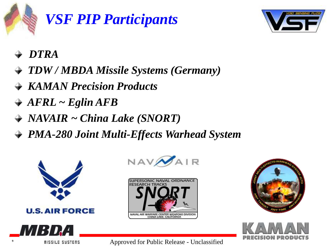

## *VSF PIP Participants*



- *DTRA*
- *TDW / MBDA Missile Systems (Germany)*
- *KAMAN Precision Products*
- *AFRL ~ Eglin AFB*
- *NAVAIR ~ China Lake (SNORT)*
- *PMA-280 Joint Multi-Effects Warhead System*













**PUBLIC EXECUTE:** Approved for Public Release - Unclassified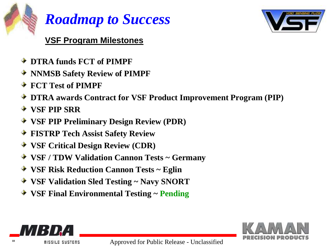

### *Roadmap to Success*



#### **VSF Program Milestones**

- **DTRA funds FCT of PIMPF**
- **NNMSB Safety Review of PIMPF**
- **FCT Test of PIMPF**
- **DTRA awards Contract for VSF Product Improvement Program (PIP)**
- **VSF PIP SRR**
- **VSF PIP Preliminary Design Review (PDR)**
- **FISTRP Tech Assist Safety Review**
- **VSF Critical Design Review (CDR)**
- **VSF / TDW Validation Cannon Tests ~ Germany**
- **VSF Risk Reduction Cannon Tests ~ Eglin**
- **VSF Validation Sled Testing ~ Navy SNORT**
- **VSF Final Environmental Testing ~ Pending**



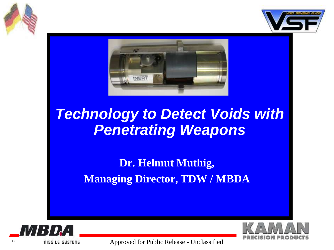





## *Technology to Detect Voids with Penetrating Weapons*

### **Dr. Helmut Muthig, Managing Director, TDW / MBDA**



<sup>11</sup> **II III III EXECUTE: 11 Approved for Public Release - Unclassified** 

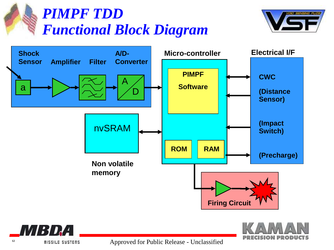









<sup>12</sup> **ILC INCREDISE IN EXAMPLE SYSTEMS** Approved for Public Release - Unclassified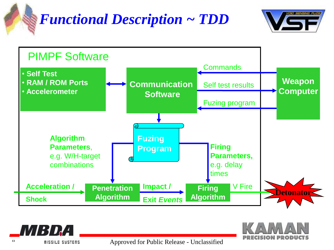

## *Functional Description ~ TDD*







<sup>13</sup> **ISSUE SUSTERS** Approved for Public Release - Unclassified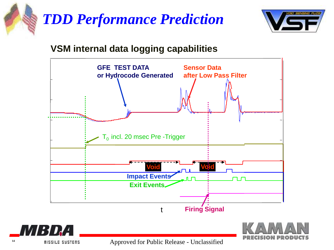



#### **VSM internal data logging capabilities**





<sup>14</sup> **ILLE SUSTERS** Approved for Public Release - Unclassified

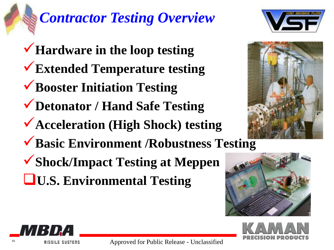# *Contractor Testing Overview*

**Hardware in the loop testing Extended Temperature testing Booster Initiation Testing Detonator / Hand Safe Testing Acceleration (High Shock) testing Basic Environment /Robustness Testing Shock/Impact Testing at Meppen U.S. Environmental Testing**











**<sup>15</sup>** Approved for Public Release - Unclassified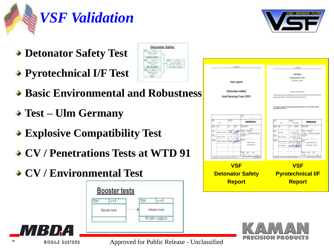



- **Detonator Safety Test**
- **Pyrotechnical I/F Test**
- **Basic Environmental and Robustness**
- **Test – Ulm Germany**
- **Explosive Compatibility Test**
- **CV / Penetrations Tests at WTD 91**
- **CV / Environmental Test**







MBDA

<sup>16</sup> **If If If**  $\blacksquare$  **If If Example 2 Approved for Public Release** - Unclassified

**Detonator Safety** 

 $90'8393$ 

Tark.

**SOM REPLY TO MUST**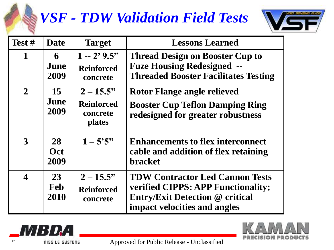## *VSF - TDW Validation Field Tests*



| Test #                  | <b>Date</b>              | <b>Target</b>                                           | <b>Lessons Learned</b>                                                                                                                                 |
|-------------------------|--------------------------|---------------------------------------------------------|--------------------------------------------------------------------------------------------------------------------------------------------------------|
| $\mathbf 1$             | 6<br>June<br>2009        | $1 - 2'9.5"$<br><b>Reinforced</b><br>concrete           | <b>Thread Design on Booster Cup to</b><br><b>Fuze Housing Redesigned --</b><br><b>Threaded Booster Facilitates Testing</b>                             |
| $\overline{2}$          | 15<br>June<br>2009       | $2 - 15.5$ "<br><b>Reinforced</b><br>concrete<br>plates | Rotor Flange angle relieved<br><b>Booster Cup Teflon Damping Ring</b><br>redesigned for greater robustness                                             |
| 3                       | 28<br><b>Oct</b><br>2009 | $1 - 5'5''$                                             | <b>Enhancements to flex interconnect</b><br>cable and addition of flex retaining<br><b>bracket</b>                                                     |
| $\overline{\mathbf{4}}$ | 23<br><b>Feb</b><br>2010 | $2 - 15.5$ "<br><b>Reinforced</b><br>concrete           | <b>TDW Contractor Led Cannon Tests</b><br>verified CIPPS: APP Functionality;<br><b>Entry/Exit Detection @ critical</b><br>impact velocities and angles |



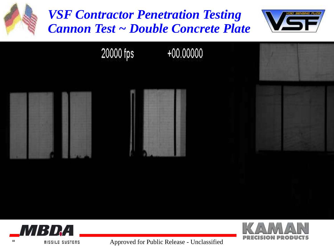



<sup>18</sup> **ISSUE STRIPE ISSUE SYSTEMS** Approved for Public Release - Unclassified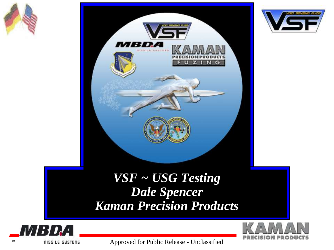





### *VSF ~ USG Testing Dale Spencer Kaman Precision Products*



<sup>19</sup> **IPS IS Approved for Public Release - Unclassified**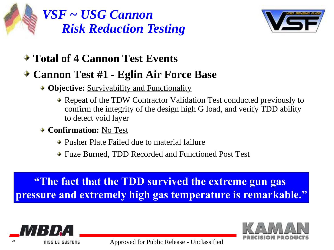

*VSF ~ USG Cannon Risk Reduction Testing*



- **Total of 4 Cannon Test Events**
- **Cannon Test #1 - Eglin Air Force Base**
	- **→ Objective:** Survivability and Functionality
		- **★ Repeat of the TDW Contractor Validation Test conducted previously to** confirm the integrity of the design high G load, and verify TDD ability to detect void layer
	- **Confirmation:** No Test
		- **→ Pusher Plate Failed due to material failure**
		- Fuze Burned, TDD Recorded and Functioned Post Test

**"The fact that the TDD survived the extreme gun gas pressure and extremely high gas temperature is remarkable."**

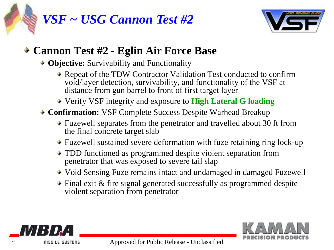



#### **Cannon Test #2 - Eglin Air Force Base**

- **★ Objective:** Survivability and Functionality
	- **★ Repeat of the TDW Contractor Validation Test conducted to confirm** void/layer detection, survivability, and functionality of the VSF at distance from gun barrel to front of first target layer
	- Verify VSF integrity and exposure to **High Lateral G loading**
- **← Confirmation:** VSF Complete Success Despite Warhead Breakup
	- Fuzewell separates from the penetrator and travelled about 30 ft from the final concrete target slab
	- Fuzewell sustained severe deformation with fuze retaining ring lock-up
	- **★ TDD functioned as programmed despite violent separation from** penetrator that was exposed to severe tail slap
	- Void Sensing Fuze remains intact and undamaged in damaged Fuzewell
	- $\rightarrow$  Final exit & fire signal generated successfully as programmed despite violent separation from penetrator



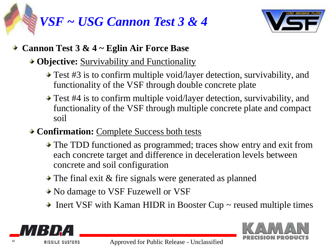# *VSF ~ USG Cannon Test 3 & 4*



#### **Cannon Test 3 & 4 ~ Eglin Air Force Base**

#### **→ Objective:** Survivability and Functionality

- **→ Test #3** is to confirm multiple void/layer detection, survivability, and functionality of the VSF through double concrete plate
- Test #4 is to confirm multiple void/layer detection, survivability, and functionality of the VSF through multiple concrete plate and compact soil
- **← Confirmation:** Complete Success both tests
	- The TDD functioned as programmed; traces show entry and exit from each concrete target and difference in deceleration levels between concrete and soil configuration
	- $\triangle$  The final exit & fire signals were generated as planned
	- No damage to VSF Fuzewell or VSF
	- $\triangle$  Inert VSF with Kaman HIDR in Booster Cup  $\sim$  reused multiple times



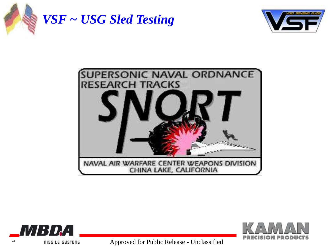

*VSF ~ USG Sled Testing*









<sup>23</sup> **Approved for Public Release - Unclassified**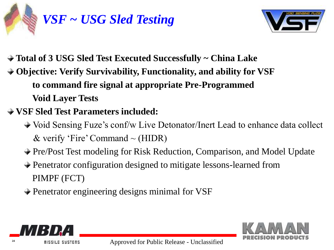



- **Total of 3 USG Sled Test Executed Successfully ~ China Lake**
- **Objective: Verify Survivability, Functionality, and ability for VSF to command fire signal at appropriate Pre-Programmed Void Layer Tests**
- **VSF Sled Test Parameters included:**
	- Void Sensing Fuze's conf/w Live Detonator/Inert Lead to enhance data collect & verify 'Fire' Command  $\sim$  (HIDR)
	- Pre/Post Test modeling for Risk Reduction, Comparison, and Model Update
	- Penetrator configuration designed to mitigate lessons-learned from PIMPF (FCT)
	- **→ Penetrator engineering designs minimal for VSF**



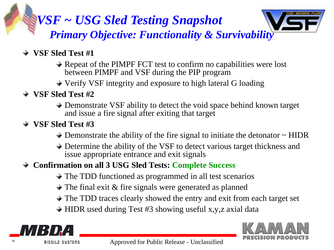### *VSF ~ USG Sled Testing Snapshot Primary Objective: Functionality & Survivability*



- **VSF Sled Test #1** 
	- $\rightarrow$  Repeat of the PIMPF FCT test to confirm no capabilities were lost between PIMPF and VSF during the PIP program
	- Verify VSF integrity and exposure to high lateral G loading
- **VSF Sled Test #2**
	- **→ Demonstrate VSF ability to detect the void space behind known target** and issue a fire signal after exiting that target
- **VSF Sled Test #3**
	- $\rightarrow$  Demonstrate the ability of the fire signal to initiate the detonator  $\sim$  HIDR
	- Determine the ability of the VSF to detect various target thickness and issue appropriate entrance and exit signals
- **Confirmation on all 3 USG Sled Tests: Complete Success**
	- $\rightarrow$  The TDD functioned as programmed in all test scenarios
	- $\rightarrow$  The final exit & fire signals were generated as planned
	- $\rightarrow$  The TDD traces clearly showed the entry and exit from each target set
	- $\rightarrow$  HIDR used during Test #3 showing useful x,y,z axial data



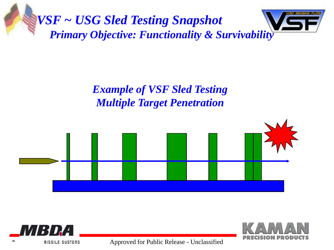

### *Example of VSF Sled Testing Multiple Target Penetration*







<sup>26</sup> **Approved for Public Release - Unclassified**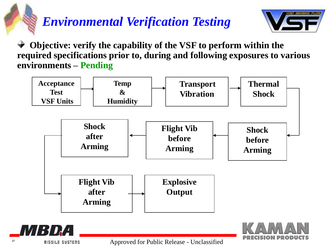### *Environmental Verification Testing*



 **Objective: verify the capability of the VSF to perform within the required specifications prior to, during and following exposures to various environments – Pending**





<sup>27</sup> **Approved for Public Release - Unclassified**